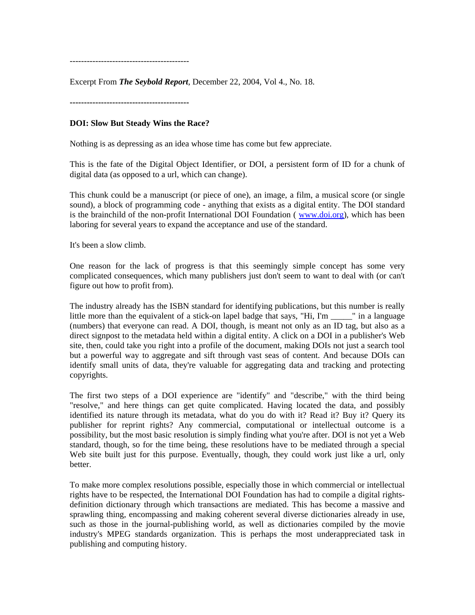------------------------------------------

Excerpt From *The Seybold Report*, December 22, 2004, Vol 4., No. 18.

**------------------------------------------** 

## **DOI: Slow But Steady Wins the Race?**

Nothing is as depressing as an idea whose time has come but few appreciate.

This is the fate of the Digital Object Identifier, or DOI, a persistent form of ID for a chunk of digital data (as opposed to a url, which can change).

This chunk could be a manuscript (or piece of one), an image, a film, a musical score (or single sound), a block of programming code - anything that exists as a digital entity. The DOI standard is the brainchild of the non-profit International DOI Foundation ( <www.doi.org>), which has been laboring for several years to expand the acceptance and use of the standard.

It's been a slow climb.

One reason for the lack of progress is that this seemingly simple concept has some very complicated consequences, which many publishers just don't seem to want to deal with (or can't figure out how to profit from).

The industry already has the ISBN standard for identifying publications, but this number is really little more than the equivalent of a stick-on lapel badge that says, "Hi, I'm \_\_\_\_\_" in a language (numbers) that everyone can read. A DOI, though, is meant not only as an ID tag, but also as a direct signpost to the metadata held within a digital entity. A click on a DOI in a publisher's Web site, then, could take you right into a profile of the document, making DOIs not just a search tool but a powerful way to aggregate and sift through vast seas of content. And because DOIs can identify small units of data, they're valuable for aggregating data and tracking and protecting copyrights.

The first two steps of a DOI experience are "identify" and "describe," with the third being "resolve," and here things can get quite complicated. Having located the data, and possibly identified its nature through its metadata, what do you do with it? Read it? Buy it? Query its publisher for reprint rights? Any commercial, computational or intellectual outcome is a possibility, but the most basic resolution is simply finding what you're after. DOI is not yet a Web standard, though, so for the time being, these resolutions have to be mediated through a special Web site built just for this purpose. Eventually, though, they could work just like a url, only better.

To make more complex resolutions possible, especially those in which commercial or intellectual rights have to be respected, the International DOI Foundation has had to compile a digital rightsdefinition dictionary through which transactions are mediated. This has become a massive and sprawling thing, encompassing and making coherent several diverse dictionaries already in use, such as those in the journal-publishing world, as well as dictionaries compiled by the movie industry's MPEG standards organization. This is perhaps the most underappreciated task in publishing and computing history.